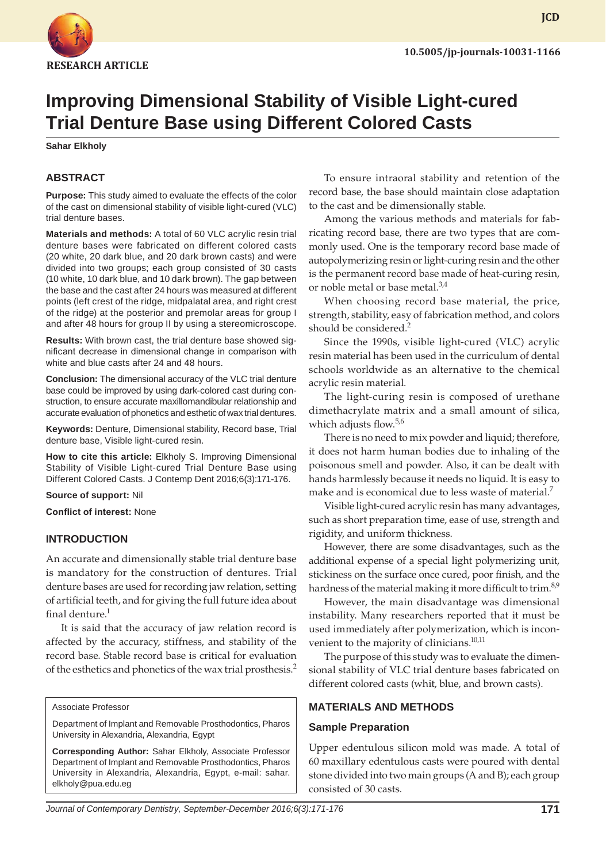

**JCD**

# **Improving Dimensional Stability of Visible Light-cured Trial Denture Base using Different Colored Casts**

**Sahar Elkholy**

#### **ABSTRACT**

**Purpose:** This study aimed to evaluate the effects of the color of the cast on dimensional stability of visible light-cured (VLC) trial denture bases.

**Materials and methods:** A total of 60 VLC acrylic resin trial denture bases were fabricated on different colored casts (20 white, 20 dark blue, and 20 dark brown casts) and were divided into two groups; each group consisted of 30 casts (10 white, 10 dark blue, and 10 dark brown). The gap between the base and the cast after 24 hours was measured at different points (left crest of the ridge, midpalatal area, and right crest of the ridge) at the posterior and premolar areas for group I and after 48 hours for group II by using a stereomicroscope.

**Results:** With brown cast, the trial denture base showed significant decrease in dimensional change in comparison with white and blue casts after 24 and 48 hours.

**Conclusion:** The dimensional accuracy of the VLC trial denture base could be improved by using dark-colored cast during construction, to ensure accurate maxillomandibular relationship and accurate evaluation of phonetics and esthetic of wax trial dentures.

**Keywords:** Denture, Dimensional stability, Record base, Trial denture base, Visible light-cured resin.

**How to cite this article:** Elkholy S. Improving Dimensional Stability of Visible Light-cured Trial Denture Base using Different Colored Casts. J Contemp Dent 2016;6(3):171-176.

#### **Source of support:** Nil

**Conflict of interest:** None

#### **INTRODUCTION**

An accurate and dimensionally stable trial denture base is mandatory for the construction of dentures. Trial denture bases are used for recording jaw relation, setting of artificial teeth, and for giving the full future idea about final denture.<sup>1</sup>

It is said that the accuracy of jaw relation record is affected by the accuracy, stiffness, and stability of the record base. Stable record base is critical for evaluation of the esthetics and phonetics of the wax trial prosthesis.2

#### Associate Professor

Department of Implant and Removable Prosthodontics, Pharos University in Alexandria, Alexandria, Egypt

**Corresponding Author:** Sahar Elkholy, Associate Professor Department of Implant and Removable Prosthodontics, Pharos University in Alexandria, Alexandria, Egypt, e-mail: sahar. elkholy@pua.edu.eg

To ensure intraoral stability and retention of the record base, the base should maintain close adaptation to the cast and be dimensionally stable.

Among the various methods and materials for fabricating record base, there are two types that are commonly used. One is the temporary record base made of autopolymerizing resin or light-curing resin and the other is the permanent record base made of heat-curing resin, or noble metal or base metal.3,4

When choosing record base material, the price, strength, stability, easy of fabrication method, and colors should be considered.<sup>2</sup>

Since the 1990s, visible light-cured (VLC) acrylic resin material has been used in the curriculum of dental schools worldwide as an alternative to the chemical acrylic resin material.

The light-curing resin is composed of urethane dimethacrylate matrix and a small amount of silica, which adjusts flow.<sup>5,6</sup>

There is no need to mix powder and liquid; therefore, it does not harm human bodies due to inhaling of the poisonous smell and powder. Also, it can be dealt with hands harmlessly because it needs no liquid. It is easy to make and is economical due to less waste of material.<sup>7</sup>

Visible light-cured acrylic resin has many advantages, such as short preparation time, ease of use, strength and rigidity, and uniform thickness.

However, there are some disadvantages, such as the additional expense of a special light polymerizing unit, stickiness on the surface once cured, poor finish, and the hardness of the material making it more difficult to trim.<sup>8,9</sup>

However, the main disadvantage was dimensional instability. Many researchers reported that it must be used immediately after polymerization, which is inconvenient to the majority of clinicians.<sup>10,11</sup>

The purpose of this study was to evaluate the dimensional stability of VLC trial denture bases fabricated on different colored casts (whit, blue, and brown casts).

#### **MATERIALS AND METHODS**

#### **Sample Preparation**

Upper edentulous silicon mold was made. A total of 60 maxillary edentulous casts were poured with dental stone divided into two main groups (A and B); each group consisted of 30 casts.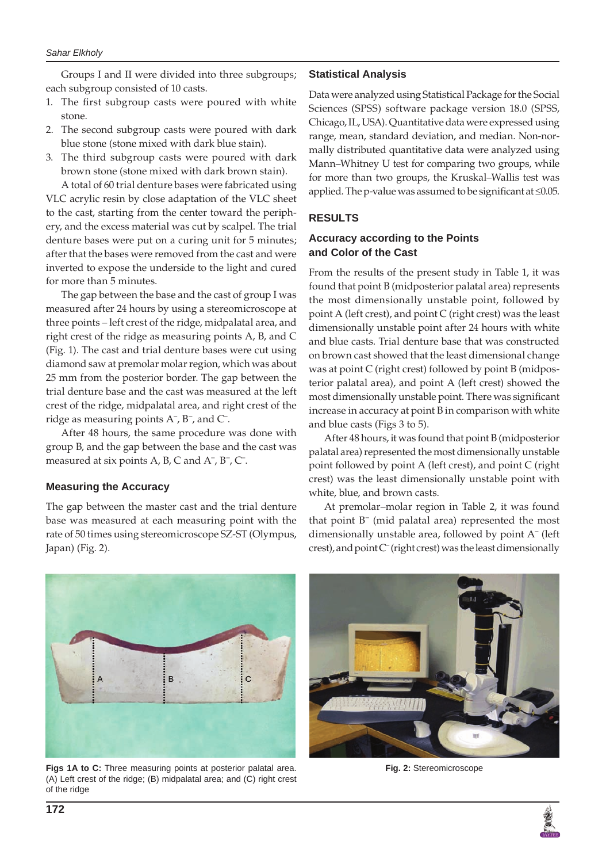Groups I and II were divided into three subgroups; each subgroup consisted of 10 casts.

- 1. The first subgroup casts were poured with white stone.
- 2. The second subgroup casts were poured with dark blue stone (stone mixed with dark blue stain).
- 3. The third subgroup casts were poured with dark brown stone (stone mixed with dark brown stain).

A total of 60 trial denture bases were fabricated using VLC acrylic resin by close adaptation of the VLC sheet to the cast, starting from the center toward the periphery, and the excess material was cut by scalpel. The trial denture bases were put on a curing unit for 5 minutes; after that the bases were removed from the cast and were inverted to expose the underside to the light and cured for more than 5 minutes.

The gap between the base and the cast of group I was measured after 24 hours by using a stereomicroscope at three points – left crest of the ridge, midpalatal area, and right crest of the ridge as measuring points A, B, and C (Fig. 1). The cast and trial denture bases were cut using diamond saw at premolar molar region, which was about 25 mm from the posterior border. The gap between the trial denture base and the cast was measured at the left crest of the ridge, midpalatal area, and right crest of the ridge as measuring points  $A^-$ ,  $B^-$ , and  $C^-$ .

After 48 hours, the same procedure was done with group B, and the gap between the base and the cast was measured at six points A, B, C and  $A^-$ , B<sup>-</sup>, C<sup>-</sup>.

### **Measuring the Accuracy**

The gap between the master cast and the trial denture base was measured at each measuring point with the rate of 50 times using stereomicroscope SZ-ST (Olympus, Japan) (Fig. 2).

# **Statistical Analysis**

Data were analyzed using Statistical Package for the Social Sciences (SPSS) software package version 18.0 (SPSS, Chicago, IL, USA). Quantitative data were expressed using range, mean, standard deviation, and median. Non-normally distributed quantitative data were analyzed using Mann–Whitney U test for comparing two groups, while for more than two groups, the Kruskal–Wallis test was applied. The p-value was assumed to be significant at ≤0.05.

# **RESULTS**

# **Accuracy according to the Points and Color of the Cast**

From the results of the present study in Table 1, it was found that point B (midposterior palatal area) represents the most dimensionally unstable point, followed by point A (left crest), and point C (right crest) was the least dimensionally unstable point after 24 hours with white and blue casts. Trial denture base that was constructed on brown cast showed that the least dimensional change was at point C (right crest) followed by point B (midposterior palatal area), and point A (left crest) showed the most dimensionally unstable point. There was significant increase in accuracy at point B in comparison with white and blue casts (Figs 3 to 5).

After 48 hours, it was found that point B (midposterior palatal area) represented the most dimensionally unstable point followed by point A (left crest), and point C (right crest) was the least dimensionally unstable point with white, blue, and brown casts.

At premolar–molar region in Table 2, it was found that point B– (mid palatal area) represented the most dimensionally unstable area, followed by point A<sup>-</sup> (left crest), and point C– (right crest) was the least dimensionally



**Figs 1A to C:** Three measuring points at posterior palatal area. (A) Left crest of the ridge; (B) midpalatal area; and (C) right crest of the ridge



**Fig. 2:** Stereomicroscope

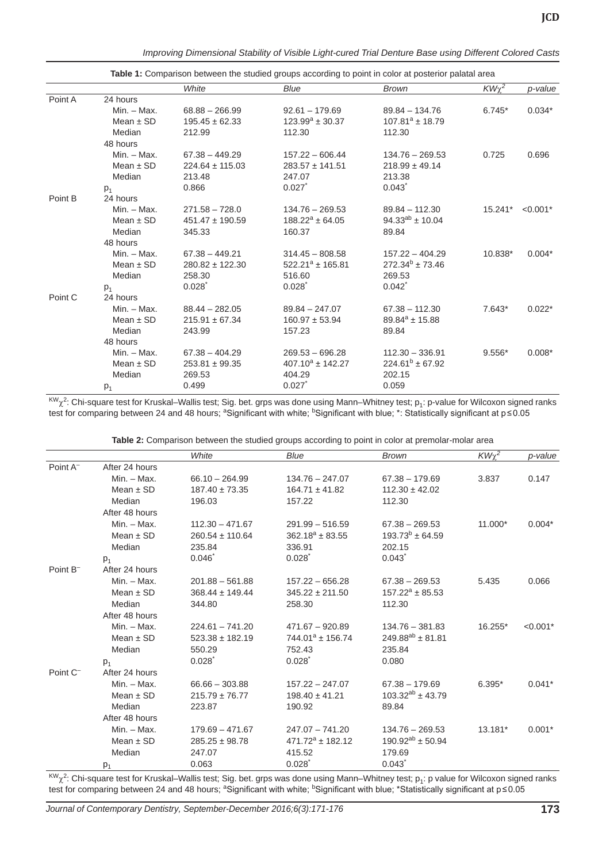*Improving Dimensional Stability of Visible Light-cured Trial Denture Base using Different Colored Casts*

|         |               | White               | Blue                  | <b>Brown</b>           | $KW\chi^2$ | p-value    |  |
|---------|---------------|---------------------|-----------------------|------------------------|------------|------------|--|
| Point A | 24 hours      |                     |                       |                        |            |            |  |
|         | $Min. - Max.$ | $68.88 - 266.99$    | $92.61 - 179.69$      | $89.84 - 134.76$       | $6.745*$   | $0.034*$   |  |
|         | Mean $\pm$ SD | $195.45 \pm 62.33$  | $123.99^a \pm 30.37$  | $107.81^a \pm 18.79$   |            |            |  |
|         | Median        | 212.99              | 112.30                | 112.30                 |            |            |  |
|         | 48 hours      |                     |                       |                        |            |            |  |
|         | $Min. - Max.$ | $67.38 - 449.29$    | $157.22 - 606.44$     | $134.76 - 269.53$      | 0.725      | 0.696      |  |
|         | Mean $\pm$ SD | $224.64 \pm 115.03$ | $283.57 \pm 141.51$   | $218.99 \pm 49.14$     |            |            |  |
|         | Median        | 213.48              | 247.07                | 213.38                 |            |            |  |
|         | $p_1$         | 0.866               | 0.027                 | 0.043                  |            |            |  |
| Point B | 24 hours      |                     |                       |                        |            |            |  |
|         | $Min. - Max.$ | $271.58 - 728.0$    | $134.76 - 269.53$     | $89.84 - 112.30$       | $15.241*$  | $< 0.001*$ |  |
|         | Mean $\pm$ SD | $451.47 \pm 190.59$ | $188.22^a \pm 64.05$  | $94.33^{ab} \pm 10.04$ |            |            |  |
|         | Median        | 345.33              | 160.37                | 89.84                  |            |            |  |
|         | 48 hours      |                     |                       |                        |            |            |  |
|         | $Min. - Max.$ | $67.38 - 449.21$    | $314.45 - 808.58$     | $157.22 - 404.29$      | $10.838*$  | $0.004*$   |  |
|         | Mean $\pm$ SD | $280.82 \pm 122.30$ | $522.21^a \pm 165.81$ | $272.34^b \pm 73.46$   |            |            |  |
|         | Median        | 258.30              | 516.60                | 269.53                 |            |            |  |
|         | $p_1$         | 0.028               | $0.028^{*}$           | $0.042^*$              |            |            |  |
| Point C | 24 hours      |                     |                       |                        |            |            |  |
|         | $Min. - Max.$ | $88.44 - 282.05$    | $89.84 - 247.07$      | $67.38 - 112.30$       | $7.643*$   | $0.022*$   |  |
|         | Mean $\pm$ SD | $215.91 \pm 67.34$  | $160.97 \pm 53.94$    | $89.84^a \pm 15.88$    |            |            |  |
|         | Median        | 243.99              | 157.23                | 89.84                  |            |            |  |
|         | 48 hours      |                     |                       |                        |            |            |  |
|         | $Min. - Max.$ | $67.38 - 404.29$    | $269.53 - 696.28$     | $112.30 - 336.91$      | $9.556*$   | $0.008*$   |  |
|         | Mean $\pm$ SD | $253.81 \pm 99.35$  | $407.10^a \pm 142.27$ | $224.61^b \pm 67.92$   |            |            |  |
|         | Median        | 269.53              | 404.29                | 202.15                 |            |            |  |
|         | $p_1$         | 0.499               | 0.027                 | 0.059                  |            |            |  |

<sup>KW</sup>χ<sup>2</sup>: Chi-square test for Kruskal–Wallis test; Sig. bet. grps was done using Mann–Whitney test; p<sub>1</sub>: p-value for Wilcoxon signed ranks test for comparing between 24 and 48 hours; <sup>a</sup>Significant with white; <sup>b</sup>Significant with blue; \*: Statistically significant at p≤0.05

**Table 2:** Comparison between the studied groups according to point in color at premolar-molar area

|                      |                | White               | Blue                  | <b>Brown</b>            | $KW\chi^2$ | p-value    |  |
|----------------------|----------------|---------------------|-----------------------|-------------------------|------------|------------|--|
| Point A <sup>-</sup> | After 24 hours |                     |                       |                         |            |            |  |
|                      | $Min. - Max.$  | $66.10 - 264.99$    | $134.76 - 247.07$     | $67.38 - 179.69$        | 3.837      | 0.147      |  |
|                      | Mean $\pm$ SD  | $187.40 \pm 73.35$  | $164.71 \pm 41.82$    | $112.30 \pm 42.02$      |            |            |  |
|                      | Median         | 196.03              | 157.22                | 112.30                  |            |            |  |
|                      | After 48 hours |                     |                       |                         |            |            |  |
|                      | $Min. - Max.$  | $112.30 - 471.67$   | $291.99 - 516.59$     | $67.38 - 269.53$        | 11.000*    | $0.004*$   |  |
|                      | Mean $\pm$ SD  | $260.54 \pm 110.64$ | $362.18^a \pm 83.55$  | $193.73^{b} \pm 64.59$  |            |            |  |
|                      | Median         | 235.84              | 336.91                | 202.15                  |            |            |  |
|                      | P <sub>1</sub> | $0.046^{*}$         | $0.028^{*}$           | $0.043$ <sup>*</sup>    |            |            |  |
| Point $B^-$          | After 24 hours |                     |                       |                         |            |            |  |
|                      | $Min. - Max.$  | $201.88 - 561.88$   | $157.22 - 656.28$     | $67.38 - 269.53$        | 5.435      | 0.066      |  |
|                      | Mean $\pm$ SD  | $368.44 \pm 149.44$ | $345.22 \pm 211.50$   | $157.22^a \pm 85.53$    |            |            |  |
|                      | Median         | 344.80              | 258.30                | 112.30                  |            |            |  |
|                      | After 48 hours |                     |                       |                         |            |            |  |
|                      | $Min. - Max.$  | $224.61 - 741.20$   | $471.67 - 920.89$     | $134.76 - 381.83$       | $16.255*$  | $< 0.001*$ |  |
|                      | Mean $\pm$ SD  | $523.38 \pm 182.19$ | $744.01a \pm 156.74$  | $249.88^{ab} \pm 81.81$ |            |            |  |
|                      | Median         | 550.29              | 752.43                | 235.84                  |            |            |  |
|                      | P <sub>1</sub> | $0.028^{*}$         | $0.028^{*}$           | 0.080                   |            |            |  |
| Point C <sup>-</sup> | After 24 hours |                     |                       |                         |            |            |  |
|                      | $Min. - Max.$  | $66.66 - 303.88$    | $157.22 - 247.07$     | $67.38 - 179.69$        | $6.395*$   | $0.041*$   |  |
|                      | Mean $\pm$ SD  | $215.79 \pm 76.77$  | $198.40 \pm 41.21$    | $103.32^{ab} \pm 43.79$ |            |            |  |
|                      | Median         | 223.87              | 190.92                | 89.84                   |            |            |  |
|                      | After 48 hours |                     |                       |                         |            |            |  |
|                      | $Min. - Max.$  | $179.69 - 471.67$   | $247.07 - 741.20$     | $134.76 - 269.53$       | $13.181*$  | $0.001*$   |  |
|                      | Mean $\pm$ SD  | $285.25 \pm 98.78$  | $471.72^a \pm 182.12$ | $190.92^{ab} \pm 50.94$ |            |            |  |
|                      | Median         | 247.07              | 415.52                | 179.69                  |            |            |  |
|                      | $p_1$          | 0.063               | 0.028                 | 0.043                   |            |            |  |

<sup>KW</sup>χ<sup>2</sup>: Chi-square test for Kruskal–Wallis test; Sig. bet. grps was done using Mann–Whitney test; p<sub>1</sub>: p value for Wilcoxon signed ranks test for comparing between 24 and 48 hours; <sup>a</sup>Significant with white; <sup>b</sup>Significant with blue; \*Statistically significant at p≤0.05

*Journal of Contemporary Dentistry, September-December 2016;6(3):171-176* **173**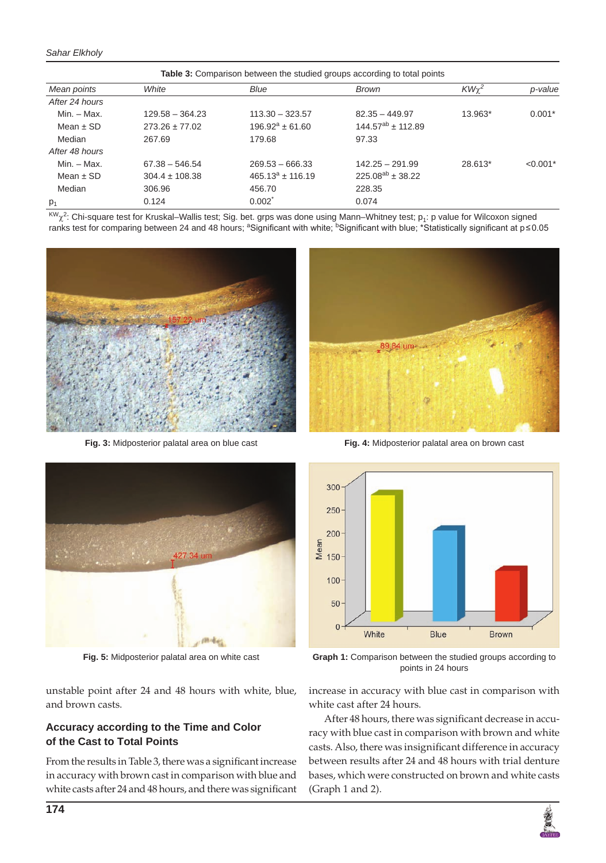| <b>Table 3:</b> Comparison between the studied groups according to total points |                    |                       |                          |              |            |  |
|---------------------------------------------------------------------------------|--------------------|-----------------------|--------------------------|--------------|------------|--|
| Mean points                                                                     | White              | Blue                  | <b>Brown</b>             | $KW\gamma^2$ | p-value    |  |
| After 24 hours                                                                  |                    |                       |                          |              |            |  |
| Min. - Max.                                                                     | $129.58 - 364.23$  | $113.30 - 323.57$     | $82.35 - 449.97$         | 13.963*      | $0.001*$   |  |
| Mean $\pm$ SD                                                                   | $273.26 \pm 77.02$ | $196.92^a \pm 61.60$  | $144.57^{ab} \pm 112.89$ |              |            |  |
| Median                                                                          | 267.69             | 179.68                | 97.33                    |              |            |  |
| After 48 hours                                                                  |                    |                       |                          |              |            |  |
| Min. - Max.                                                                     | $67.38 - 546.54$   | $269.53 - 666.33$     | $142.25 - 291.99$        | 28.613*      | $< 0.001*$ |  |
| Mean $\pm$ SD                                                                   | $304.4 \pm 108.38$ | $465.13^a \pm 116.19$ | $225.08^{ab} \pm 38.22$  |              |            |  |
| Median                                                                          | 306.96             | 456.70                | 228.35                   |              |            |  |
| $p_1$                                                                           | 0.124              | $0.002^{\degree}$     | 0.074                    |              |            |  |

<sup>KW</sup>χ<sup>2</sup>: Chi-square test for Kruskal–Wallis test; Sig. bet. grps was done using Mann–Whitney test; p<sub>1</sub>: p value for Wilcoxon signed ranks test for comparing between 24 and 48 hours; <sup>a</sup>Significant with white; <sup>b</sup>Significant with blue; \*Statistically significant at p≤0.05





unstable point after 24 and 48 hours with white, blue, and brown casts.

### **Accuracy according to the Time and Color of the Cast to Total Points**

From the results in Table 3, there was a significant increase in accuracy with brown cast in comparison with blue and white casts after 24 and 48 hours, and there was significant



**Fig. 3:** Midposterior palatal area on blue cast **Fig. 4:** Midposterior palatal area on brown cast



**Fig. 5:** Midposterior palatal area on white cast **Graph 1:** Comparison between the studied groups according to points in 24 hours

increase in accuracy with blue cast in comparison with white cast after 24 hours.

After 48 hours, there was significant decrease in accuracy with blue cast in comparison with brown and white casts. Also, there was insignificant difference in accuracy between results after 24 and 48 hours with trial denture bases, which were constructed on brown and white casts (Graph 1 and 2).

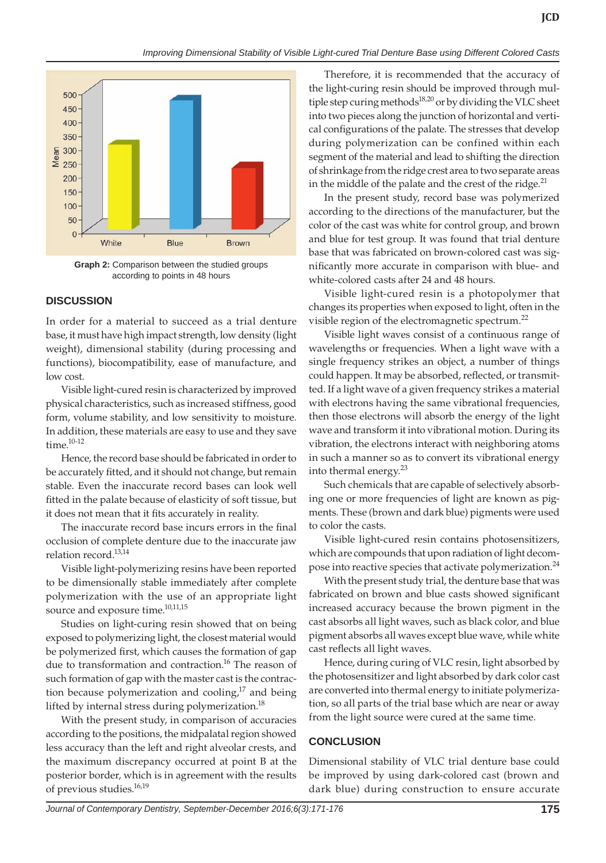

**Graph 2:** Comparison between the studied groups according to points in 48 hours

#### **DISCUSSION**

In order for a material to succeed as a trial denture base, it must have high impact strength, low density (light weight), dimensional stability (during processing and functions), biocompatibility, ease of manufacture, and low cost.

Visible light-cured resin is characterized by improved physical characteristics, such as increased stiffness, good form, volume stability, and low sensitivity to moisture. In addition, these materials are easy to use and they save time.<sup>10-12</sup>

Hence, the record base should be fabricated in order to be accurately fitted, and it should not change, but remain stable. Even the inaccurate record bases can look well fitted in the palate because of elasticity of soft tissue, but it does not mean that it fits accurately in reality.

The inaccurate record base incurs errors in the final occlusion of complete denture due to the inaccurate jaw relation record.<sup>13,14</sup>

Visible light-polymerizing resins have been reported to be dimensionally stable immediately after complete polymerization with the use of an appropriate light source and exposure time.<sup>10,11,15</sup>

Studies on light-curing resin showed that on being exposed to polymerizing light, the closest material would be polymerized first, which causes the formation of gap due to transformation and contraction.<sup>16</sup> The reason of such formation of gap with the master cast is the contraction because polymerization and cooling, $17$  and being lifted by internal stress during polymerization.<sup>18</sup>

With the present study, in comparison of accuracies according to the positions, the midpalatal region showed less accuracy than the left and right alveolar crests, and the maximum discrepancy occurred at point B at the posterior border, which is in agreement with the results of previous studies.<sup>16,19</sup>

Therefore, it is recommended that the accuracy of the light-curing resin should be improved through multiple step curing methods<sup>18,20</sup> or by dividing the VLC sheet into two pieces along the junction of horizontal and vertical configurations of the palate. The stresses that develop during polymerization can be confined within each segment of the material and lead to shifting the direction of shrinkage from the ridge crest area to two separate areas in the middle of the palate and the crest of the ridge. $^{21}$ 

In the present study, record base was polymerized according to the directions of the manufacturer, but the color of the cast was white for control group, and brown and blue for test group. It was found that trial denture base that was fabricated on brown-colored cast was significantly more accurate in comparison with blue- and white-colored casts after 24 and 48 hours.

Visible light-cured resin is a photopolymer that changes its properties when exposed to light, often in the visible region of the electromagnetic spectrum.<sup>22</sup>

Visible light waves consist of a continuous range of wavelengths or frequencies. When a light wave with a single frequency strikes an object, a number of things could happen. It may be absorbed, reflected, or transmitted. If a light wave of a given frequency strikes a material with electrons having the same vibrational frequencies, then those electrons will absorb the energy of the light wave and transform it into vibrational motion. During its vibration, the electrons interact with neighboring atoms in such a manner so as to convert its vibrational energy into thermal energy. $23$ 

Such chemicals that are capable of selectively absorbing one or more frequencies of light are known as pigments. These (brown and dark blue) pigments were used to color the casts.

Visible light-cured resin contains photosensitizers, which are compounds that upon radiation of light decompose into reactive species that activate polymerization.<sup>24</sup>

With the present study trial, the denture base that was fabricated on brown and blue casts showed significant increased accuracy because the brown pigment in the cast absorbs all light waves, such as black color, and blue pigment absorbs all waves except blue wave, while white cast reflects all light waves.

Hence, during curing of VLC resin, light absorbed by the photosensitizer and light absorbed by dark color cast are converted into thermal energy to initiate polymerization, so all parts of the trial base which are near or away from the light source were cured at the same time.

### **CONCLUSION**

Dimensional stability of VLC trial denture base could be improved by using dark-colored cast (brown and dark blue) during construction to ensure accurate